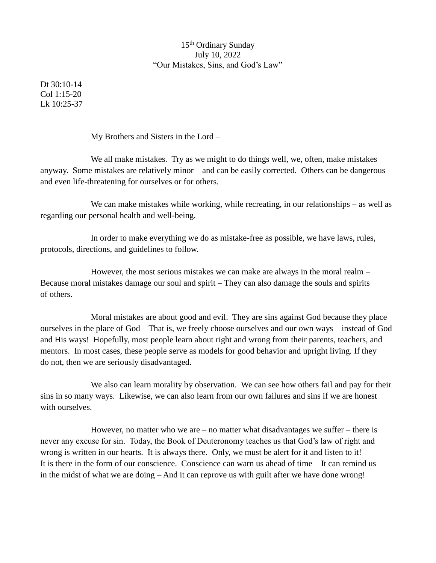## 15th Ordinary Sunday July 10, 2022 "Our Mistakes, Sins, and God's Law"

Dt 30:10-14 Col 1:15-20 Lk 10:25-37

My Brothers and Sisters in the Lord –

We all make mistakes. Try as we might to do things well, we, often, make mistakes anyway. Some mistakes are relatively minor – and can be easily corrected. Others can be dangerous and even life-threatening for ourselves or for others.

We can make mistakes while working, while recreating, in our relationships – as well as regarding our personal health and well-being.

In order to make everything we do as mistake-free as possible, we have laws, rules, protocols, directions, and guidelines to follow.

However, the most serious mistakes we can make are always in the moral realm – Because moral mistakes damage our soul and spirit – They can also damage the souls and spirits of others.

Moral mistakes are about good and evil. They are sins against God because they place ourselves in the place of God – That is, we freely choose ourselves and our own ways – instead of God and His ways! Hopefully, most people learn about right and wrong from their parents, teachers, and mentors. In most cases, these people serve as models for good behavior and upright living. If they do not, then we are seriously disadvantaged.

We also can learn morality by observation. We can see how others fail and pay for their sins in so many ways. Likewise, we can also learn from our own failures and sins if we are honest with ourselves.

However, no matter who we are  $-$  no matter what disadvantages we suffer  $-$  there is never any excuse for sin. Today, the Book of Deuteronomy teaches us that God's law of right and wrong is written in our hearts. It is always there. Only, we must be alert for it and listen to it! It is there in the form of our conscience. Conscience can warn us ahead of time – It can remind us in the midst of what we are doing – And it can reprove us with guilt after we have done wrong!